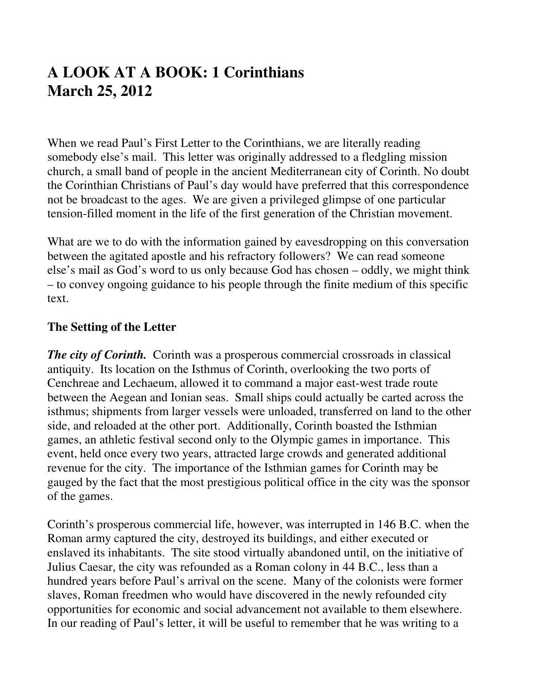## **A LOOK AT A BOOK: 1 Corinthians March 25, 2012**

When we read Paul's First Letter to the Corinthians, we are literally reading somebody else's mail. This letter was originally addressed to a fledgling mission church, a small band of people in the ancient Mediterranean city of Corinth. No doubt the Corinthian Christians of Paul's day would have preferred that this correspondence not be broadcast to the ages. We are given a privileged glimpse of one particular tension-filled moment in the life of the first generation of the Christian movement.

What are we to do with the information gained by eavesdropping on this conversation between the agitated apostle and his refractory followers? We can read someone else's mail as God's word to us only because God has chosen – oddly, we might think – to convey ongoing guidance to his people through the finite medium of this specific text.

## **The Setting of the Letter**

*The city of Corinth.* Corinth was a prosperous commercial crossroads in classical antiquity. Its location on the Isthmus of Corinth, overlooking the two ports of Cenchreae and Lechaeum, allowed it to command a major east-west trade route between the Aegean and Ionian seas. Small ships could actually be carted across the isthmus; shipments from larger vessels were unloaded, transferred on land to the other side, and reloaded at the other port. Additionally, Corinth boasted the Isthmian games, an athletic festival second only to the Olympic games in importance. This event, held once every two years, attracted large crowds and generated additional revenue for the city. The importance of the Isthmian games for Corinth may be gauged by the fact that the most prestigious political office in the city was the sponsor of the games.

Corinth's prosperous commercial life, however, was interrupted in 146 B.C. when the Roman army captured the city, destroyed its buildings, and either executed or enslaved its inhabitants. The site stood virtually abandoned until, on the initiative of Julius Caesar, the city was refounded as a Roman colony in 44 B.C., less than a hundred years before Paul's arrival on the scene. Many of the colonists were former slaves, Roman freedmen who would have discovered in the newly refounded city opportunities for economic and social advancement not available to them elsewhere. In our reading of Paul's letter, it will be useful to remember that he was writing to a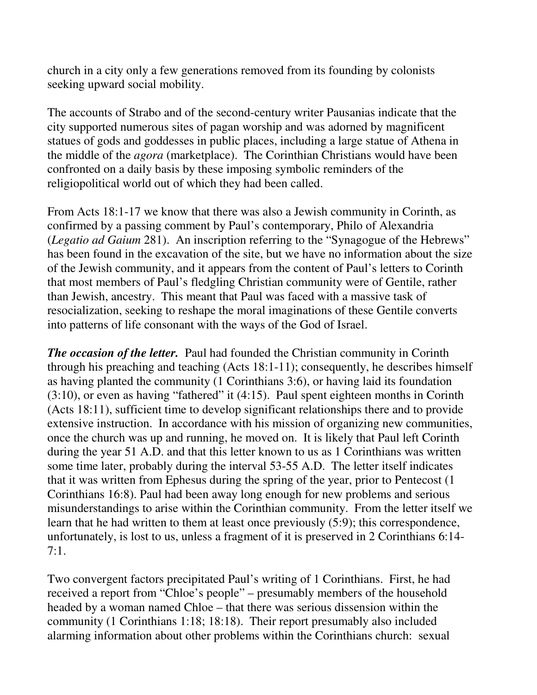church in a city only a few generations removed from its founding by colonists seeking upward social mobility.

The accounts of Strabo and of the second-century writer Pausanias indicate that the city supported numerous sites of pagan worship and was adorned by magnificent statues of gods and goddesses in public places, including a large statue of Athena in the middle of the *agora* (marketplace). The Corinthian Christians would have been confronted on a daily basis by these imposing symbolic reminders of the religiopolitical world out of which they had been called.

From Acts 18:1-17 we know that there was also a Jewish community in Corinth, as confirmed by a passing comment by Paul's contemporary, Philo of Alexandria (*Legatio ad Gaium* 281). An inscription referring to the "Synagogue of the Hebrews" has been found in the excavation of the site, but we have no information about the size of the Jewish community, and it appears from the content of Paul's letters to Corinth that most members of Paul's fledgling Christian community were of Gentile, rather than Jewish, ancestry. This meant that Paul was faced with a massive task of resocialization, seeking to reshape the moral imaginations of these Gentile converts into patterns of life consonant with the ways of the God of Israel.

*The occasion of the letter.* Paul had founded the Christian community in Corinth through his preaching and teaching (Acts 18:1-11); consequently, he describes himself as having planted the community (1 Corinthians 3:6), or having laid its foundation (3:10), or even as having "fathered" it (4:15). Paul spent eighteen months in Corinth (Acts 18:11), sufficient time to develop significant relationships there and to provide extensive instruction. In accordance with his mission of organizing new communities, once the church was up and running, he moved on. It is likely that Paul left Corinth during the year 51 A.D. and that this letter known to us as 1 Corinthians was written some time later, probably during the interval 53-55 A.D. The letter itself indicates that it was written from Ephesus during the spring of the year, prior to Pentecost (1 Corinthians 16:8). Paul had been away long enough for new problems and serious misunderstandings to arise within the Corinthian community. From the letter itself we learn that he had written to them at least once previously (5:9); this correspondence, unfortunately, is lost to us, unless a fragment of it is preserved in 2 Corinthians 6:14- 7:1.

Two convergent factors precipitated Paul's writing of 1 Corinthians. First, he had received a report from "Chloe's people" – presumably members of the household headed by a woman named Chloe – that there was serious dissension within the community (1 Corinthians 1:18; 18:18). Their report presumably also included alarming information about other problems within the Corinthians church: sexual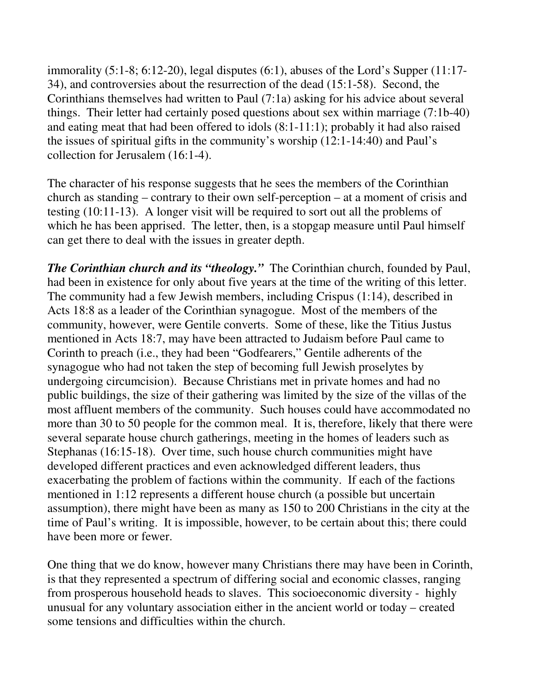immorality (5:1-8; 6:12-20), legal disputes (6:1), abuses of the Lord's Supper (11:17- 34), and controversies about the resurrection of the dead (15:1-58). Second, the Corinthians themselves had written to Paul (7:1a) asking for his advice about several things. Their letter had certainly posed questions about sex within marriage (7:1b-40) and eating meat that had been offered to idols (8:1-11:1); probably it had also raised the issues of spiritual gifts in the community's worship (12:1-14:40) and Paul's collection for Jerusalem (16:1-4).

The character of his response suggests that he sees the members of the Corinthian church as standing – contrary to their own self-perception – at a moment of crisis and testing (10:11-13). A longer visit will be required to sort out all the problems of which he has been apprised. The letter, then, is a stopgap measure until Paul himself can get there to deal with the issues in greater depth.

*The Corinthian church and its "theology."* The Corinthian church, founded by Paul, had been in existence for only about five years at the time of the writing of this letter. The community had a few Jewish members, including Crispus (1:14), described in Acts 18:8 as a leader of the Corinthian synagogue. Most of the members of the community, however, were Gentile converts. Some of these, like the Titius Justus mentioned in Acts 18:7, may have been attracted to Judaism before Paul came to Corinth to preach (i.e., they had been "Godfearers," Gentile adherents of the synagogue who had not taken the step of becoming full Jewish proselytes by undergoing circumcision). Because Christians met in private homes and had no public buildings, the size of their gathering was limited by the size of the villas of the most affluent members of the community. Such houses could have accommodated no more than 30 to 50 people for the common meal. It is, therefore, likely that there were several separate house church gatherings, meeting in the homes of leaders such as Stephanas (16:15-18). Over time, such house church communities might have developed different practices and even acknowledged different leaders, thus exacerbating the problem of factions within the community. If each of the factions mentioned in 1:12 represents a different house church (a possible but uncertain assumption), there might have been as many as 150 to 200 Christians in the city at the time of Paul's writing. It is impossible, however, to be certain about this; there could have been more or fewer.

One thing that we do know, however many Christians there may have been in Corinth, is that they represented a spectrum of differing social and economic classes, ranging from prosperous household heads to slaves. This socioeconomic diversity - highly unusual for any voluntary association either in the ancient world or today – created some tensions and difficulties within the church.